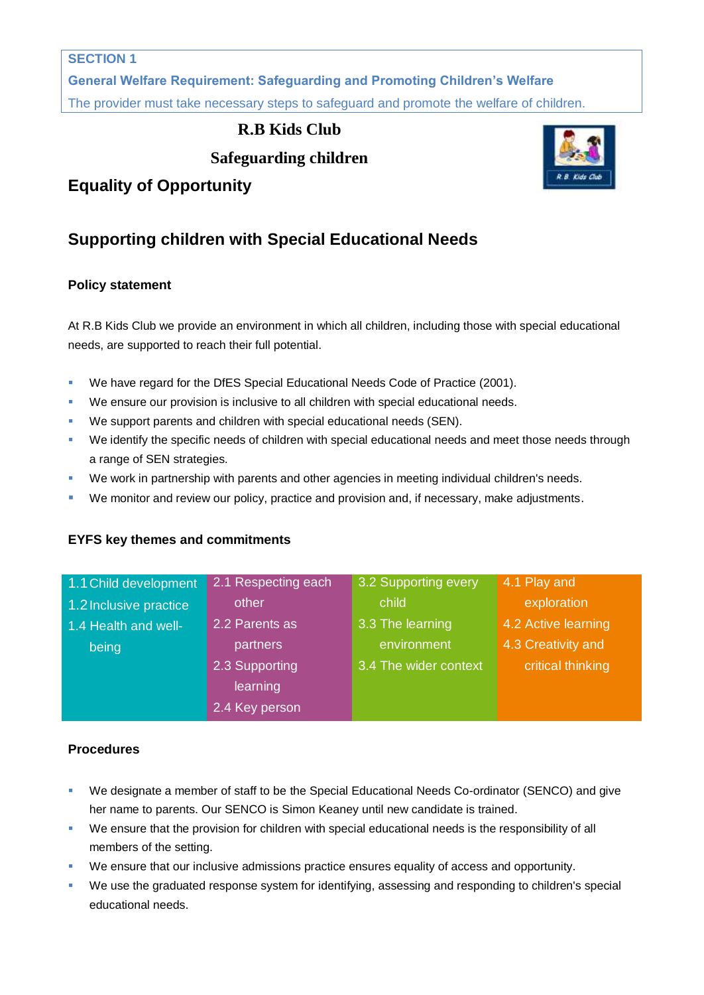**General Welfare Requirement: Safeguarding and Promoting Children's Welfare** The provider must take necessary steps to safeguard and promote the welfare of children.

## **R.B Kids Club**

**Safeguarding children**



# **Supporting children with Special Educational Needs**

### **Policy statement**

At R.B Kids Club we provide an environment in which all children, including those with special educational needs, are supported to reach their full potential.

- We have regard for the DfES Special Educational Needs Code of Practice (2001).
- We ensure our provision is inclusive to all children with special educational needs.
- We support parents and children with special educational needs (SEN).
- We identify the specific needs of children with special educational needs and meet those needs through a range of SEN strategies.
- **We work in partnership with parents and other agencies in meeting individual children's needs.**
- We monitor and review our policy, practice and provision and, if necessary, make adjustments.

#### **EYFS key themes and commitments**

| 1.1 Child development  | 2.1 Respecting each | 3.2 Supporting every  | 4.1 Play and        |
|------------------------|---------------------|-----------------------|---------------------|
| 1.2 Inclusive practice | other               | child                 | exploration         |
| 1.4 Health and well-   | 2.2 Parents as      | 3.3 The learning      | 4.2 Active learning |
| being                  | partners            | environment           | 4.3 Creativity and  |
|                        | 2.3 Supporting      | 3.4 The wider context | critical thinking   |
|                        | learning            |                       |                     |
|                        | 2.4 Key person      |                       |                     |

#### **Procedures**

- We designate a member of staff to be the Special Educational Needs Co-ordinator (SENCO) and give her name to parents. Our SENCO is Simon Keaney until new candidate is trained.
- We ensure that the provision for children with special educational needs is the responsibility of all members of the setting.
- We ensure that our inclusive admissions practice ensures equality of access and opportunity.
- We use the graduated response system for identifying, assessing and responding to children's special educational needs.

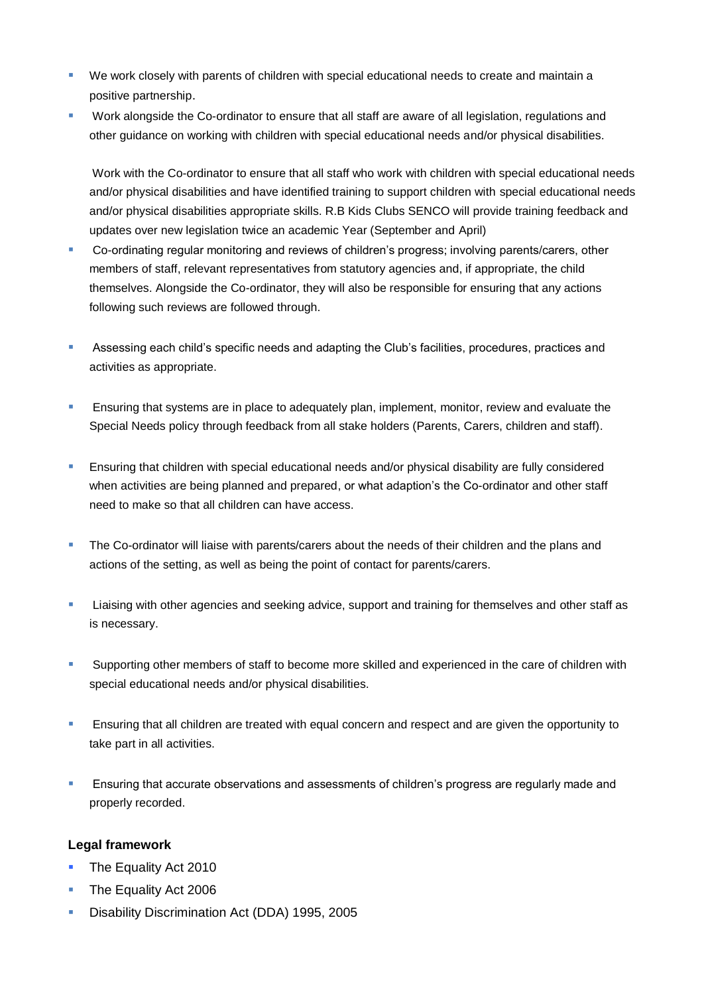- We work closely with parents of children with special educational needs to create and maintain a positive partnership.
- **Work alongside the Co-ordinator to ensure that all staff are aware of all legislation, regulations and** other guidance on working with children with special educational needs and/or physical disabilities.

Work with the Co-ordinator to ensure that all staff who work with children with special educational needs and/or physical disabilities and have identified training to support children with special educational needs and/or physical disabilities appropriate skills. R.B Kids Clubs SENCO will provide training feedback and updates over new legislation twice an academic Year (September and April)

- Co-ordinating regular monitoring and reviews of children's progress; involving parents/carers, other members of staff, relevant representatives from statutory agencies and, if appropriate, the child themselves. Alongside the Co-ordinator, they will also be responsible for ensuring that any actions following such reviews are followed through.
- Assessing each child's specific needs and adapting the Club's facilities, procedures, practices and activities as appropriate.
- **Ensuring that systems are in place to adequately plan, implement, monitor, review and evaluate the** Special Needs policy through feedback from all stake holders (Parents, Carers, children and staff).
- **Ensuring that children with special educational needs and/or physical disability are fully considered** when activities are being planned and prepared, or what adaption's the Co-ordinator and other staff need to make so that all children can have access.
- The Co-ordinator will liaise with parents/carers about the needs of their children and the plans and actions of the setting, as well as being the point of contact for parents/carers.
- **EXECT ADDET Liaising with other agencies and seeking advice, support and training for themselves and other staff as** is necessary.
- **Supporting other members of staff to become more skilled and experienced in the care of children with** special educational needs and/or physical disabilities.
- **Ensuring that all children are treated with equal concern and respect and are given the opportunity to** take part in all activities.
- **Ensuring that accurate observations and assessments of children's progress are regularly made and** properly recorded.

#### **Legal framework**

- The Equality Act 2010
- The Equality Act 2006
- Disability Discrimination Act (DDA) 1995, 2005